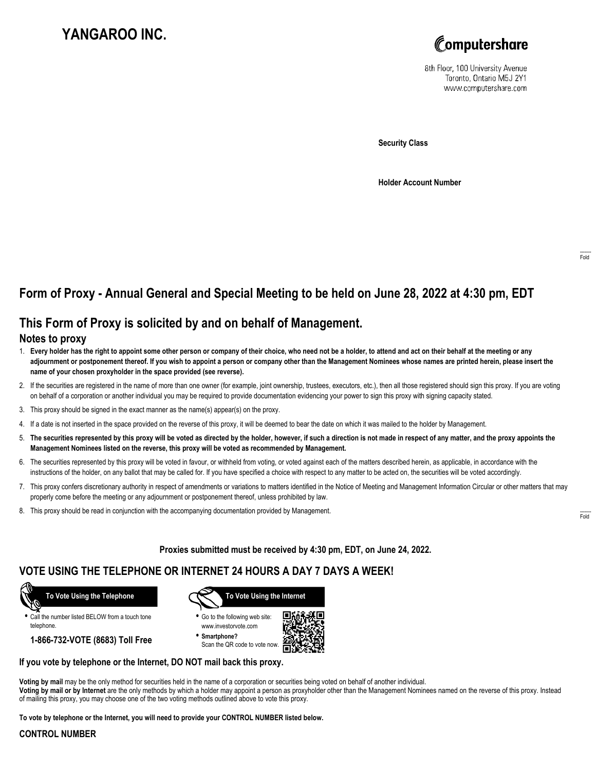# **YANGAROO INC.**



8th Floor, 100 University Avenue Toronto, Ontario M5J 2Y1 www.computershare.com

**Security Class**

**Holder Account Number**

## **Form of Proxy - Annual General and Special Meeting to be held on June 28, 2022 at 4:30 pm, EDT**

## **This Form of Proxy is solicited by and on behalf of Management.**

#### **Notes to proxy**

- 1. **Every holder has the right to appoint some other person or company of their choice, who need not be a holder, to attend and act on their behalf at the meeting or any adjournment or postponement thereof. If you wish to appoint a person or company other than the Management Nominees whose names are printed herein, please insert the name of your chosen proxyholder in the space provided (see reverse).**
- 2. If the securities are registered in the name of more than one owner (for example, joint ownership, trustees, executors, etc.), then all those registered should sign this proxy. If you are voting on behalf of a corporation or another individual you may be required to provide documentation evidencing your power to sign this proxy with signing capacity stated.
- 3. This proxy should be signed in the exact manner as the name(s) appear(s) on the proxy.
- 4. If a date is not inserted in the space provided on the reverse of this proxy, it will be deemed to bear the date on which it was mailed to the holder by Management.
- 5. **The securities represented by this proxy will be voted as directed by the holder, however, if such a direction is not made in respect of any matter, and the proxy appoints the Management Nominees listed on the reverse, this proxy will be voted as recommended by Management.**
- 6. The securities represented by this proxy will be voted in favour, or withheld from voting, or voted against each of the matters described herein, as applicable, in accordance with the instructions of the holder, on any ballot that may be called for. If you have specified a choice with respect to any matter to be acted on, the securities will be voted accordingly.
- 7. This proxy confers discretionary authority in respect of amendments or variations to matters identified in the Notice of Meeting and Management Information Circular or other matters that may properly come before the meeting or any adjournment or postponement thereof, unless prohibited by law.
- 8. This proxy should be read in conjunction with the accompanying documentation provided by Management.

**Proxies submitted must be received by 4:30 pm, EDT, on June 24, 2022.**

## **VOTE USING THE TELEPHONE OR INTERNET 24 HOURS A DAY 7 DAYS A WEEK!**



**•** Call the number listed BELOW from a touch tone telephone.

**1-866-732-VOTE (8683) Toll Free**



**•** Go to the following web site: www.investorvote.com

**• Smartphone?** Scan the QR code to vote now.



#### **If you vote by telephone or the Internet, DO NOT mail back this proxy.**

**Voting by mail** may be the only method for securities held in the name of a corporation or securities being voted on behalf of another individual. **Voting by mail or by Internet** are the only methods by which a holder may appoint a person as proxyholder other than the Management Nominees named on the reverse of this proxy. Instead of mailing this proxy, you may choose one of the two voting methods outlined above to vote this proxy.

**To vote by telephone or the Internet, you will need to provide your CONTROL NUMBER listed below.**

#### **CONTROL NUMBER**